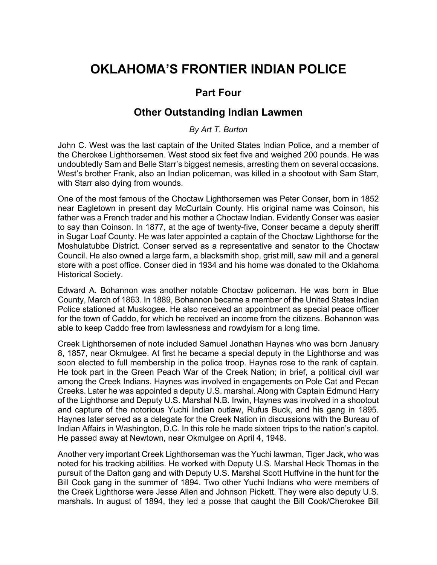## **OKLAHOMA'S FRONTIER INDIAN POLICE**

## **Part Four**

## **Other Outstanding Indian Lawmen**

## *By Art T. Burton*

John C. West was the last captain of the United States Indian Police, and a member of the Cherokee Lighthorsemen. West stood six feet five and weighed 200 pounds. He was undoubtedly Sam and Belle Starr's biggest nemesis, arresting them on several occasions. West's brother Frank, also an Indian policeman, was killed in a shootout with Sam Starr, with Starr also dying from wounds.

One of the most famous of the Choctaw Lighthorsemen was Peter Conser, born in 1852 near Eagletown in present day McCurtain County. His original name was Coinson, his father was a French trader and his mother a Choctaw Indian. Evidently Conser was easier to say than Coinson. In 1877, at the age of twenty-five, Conser became a deputy sheriff in Sugar Loaf County. He was later appointed a captain of the Choctaw Lighthorse for the Moshulatubbe District. Conser served as a representative and senator to the Choctaw Council. He also owned a large farm, a blacksmith shop, grist mill, saw mill and a general store with a post office. Conser died in 1934 and his home was donated to the Oklahoma Historical Society.

Edward A. Bohannon was another notable Choctaw policeman. He was born in Blue County, March of 1863. In 1889, Bohannon became a member of the United States Indian Police stationed at Muskogee. He also received an appointment as special peace officer for the town of Caddo, for which he received an income from the citizens. Bohannon was able to keep Caddo free from lawlessness and rowdyism for a long time.

Creek Lighthorsemen of note included Samuel Jonathan Haynes who was born January 8, 1857, near Okmulgee. At first he became a special deputy in the Lighthorse and was soon elected to full membership in the police troop. Haynes rose to the rank of captain. He took part in the Green Peach War of the Creek Nation; in brief, a political civil war among the Creek Indians. Haynes was involved in engagements on Pole Cat and Pecan Creeks. Later he was appointed a deputy U.S. marshal. Along with Captain Edmund Harry of the Lighthorse and Deputy U.S. Marshal N.B. Irwin, Haynes was involved in a shootout and capture of the notorious Yuchi Indian outlaw, Rufus Buck, and his gang in 1895. Haynes later served as a delegate for the Creek Nation in discussions with the Bureau of Indian Affairs in Washington, D.C. In this role he made sixteen trips to the nation's capitol. He passed away at Newtown, near Okmulgee on April 4, 1948.

Another very important Creek Lighthorseman was the Yuchi lawman, Tiger Jack, who was noted for his tracking abilities. He worked with Deputy U.S. Marshal Heck Thomas in the pursuit of the Dalton gang and with Deputy U.S. Marshal Scott Huffvine in the hunt for the Bill Cook gang in the summer of 1894. Two other Yuchi Indians who were members of the Creek Lighthorse were Jesse Allen and Johnson Pickett. They were also deputy U.S. marshals. In august of 1894, they led a posse that caught the Bill Cook/Cherokee Bill